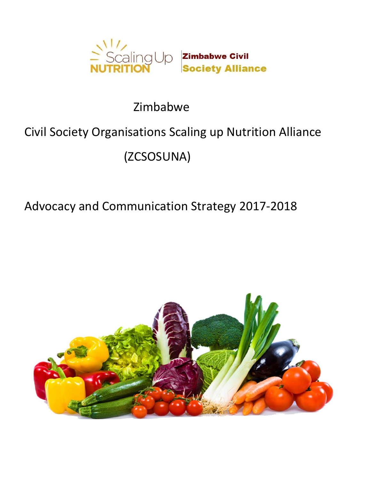

# Zimbabwe

## Civil Society Organisations Scaling up Nutrition Alliance

# (ZCSOSUNA)

### Advocacy and Communication Strategy 2017-2018

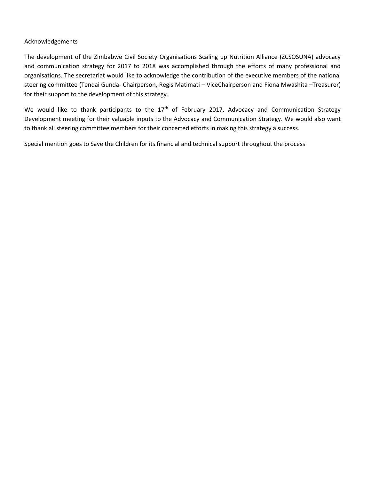#### Acknowledgements

The development of the Zimbabwe Civil Society Organisations Scaling up Nutrition Alliance (ZCSOSUNA) advocacy and communication strategy for 2017 to 2018 was accomplished through the efforts of many professional and organisations. The secretariat would like to acknowledge the contribution of the executive members of the national steering committee (Tendai Gunda- Chairperson, Regis Matimati – ViceChairperson and Fiona Mwashita –Treasurer) for their support to the development of this strategy.

We would like to thank participants to the 17<sup>th</sup> of February 2017, Advocacy and Communication Strategy Development meeting for their valuable inputs to the Advocacy and Communication Strategy. We would also want to thank all steering committee members for their concerted efforts in making this strategy a success.

Special mention goes to Save the Children for its financial and technical support throughout the process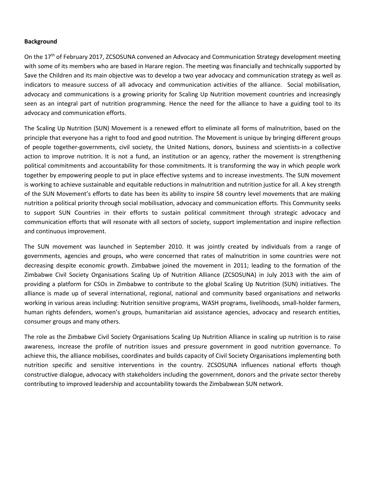#### **Background**

On the 17<sup>th</sup> of February 2017, ZCSOSUNA convened an Advocacy and Communication Strategy development meeting with some of its members who are based in Harare region. The meeting was financially and technically supported by Save the Children and its main objective was to develop a two year advocacy and communication strategy as well as indicators to measure success of all advocacy and communication activities of the alliance. Social mobilisation, advocacy and communications is a growing priority for Scaling Up Nutrition movement countries and increasingly seen as an integral part of nutrition programming. Hence the need for the alliance to have a guiding tool to its advocacy and communication efforts.

The Scaling Up Nutrition (SUN) Movement is a renewed effort to eliminate all forms of malnutrition, based on the principle that everyone has a right to food and good nutrition. The Movement is unique by bringing different groups of people together-governments, civil society, the United Nations, donors, business and scientists-in a collective action to improve nutrition. It is not a fund, an institution or an agency, rather the movement is strengthening political commitments and accountability for those commitments. It is transforming the way in which people work together by empowering people to put in place effective systems and to increase investments. The SUN movement is working to achieve sustainable and equitable reductions in malnutrition and nutrition justice for all. A key strength of the SUN Movement's efforts to date has been its ability to inspire 58 country level movements that are making nutrition a political priority through social mobilisation, advocacy and communication efforts. This Community seeks to support SUN Countries in their efforts to sustain political commitment through strategic advocacy and communication efforts that will resonate with all sectors of society, support implementation and inspire reflection and continuous improvement.

The SUN movement was launched in September 2010. It was jointly created by individuals from a range of governments, agencies and groups, who were concerned that rates of malnutrition in some countries were not decreasing despite economic growth. Zimbabwe joined the movement in 2011; leading to the formation of the Zimbabwe Civil Society Organisations Scaling Up of Nutrition Alliance (ZCSOSUNA) in July 2013 with the aim of providing a platform for CSOs in Zimbabwe to contribute to the global Scaling Up Nutrition (SUN) initiatives. The alliance is made up of several international, regional, national and community based organisations and networks working in various areas including: Nutrition sensitive programs, WASH programs, livelihoods, small-holder farmers, human rights defenders, women's groups, humanitarian aid assistance agencies, advocacy and research entities, consumer groups and many others.

The role as the Zimbabwe Civil Society Organisations Scaling Up Nutrition Alliance in scaling up nutrition is to raise awareness, increase the profile of nutrition issues and pressure government in good nutrition governance. To achieve this, the alliance mobilises, coordinates and builds capacity of Civil Society Organisations implementing both nutrition specific and sensitive interventions in the country. ZCSOSUNA influences national efforts though constructive dialogue, advocacy with stakeholders including the government, donors and the private sector thereby contributing to improved leadership and accountability towards the Zimbabwean SUN network.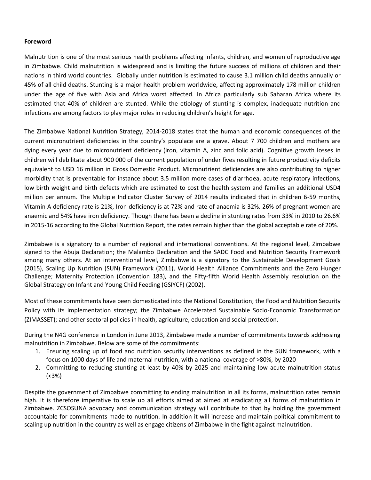#### **Foreword**

Malnutrition is one of the most serious health problems affecting infants, children, and women of reproductive age in Zimbabwe. Child malnutrition is widespread and is limiting the future success of millions of children and their nations in third world countries. Globally under nutrition is estimated to cause 3.1 million child deaths annually or 45% of all child deaths. Stunting is a major health problem worldwide, affecting approximately 178 million children under the age of five with Asia and Africa worst affected. In Africa particularly sub Saharan Africa where its estimated that 40% of children are stunted. While the etiology of stunting is complex, inadequate nutrition and infections are among factors to play major roles in reducing children's height for age.

The Zimbabwe National Nutrition Strategy, 2014-2018 states that the human and economic consequences of the current micronutrient deficiencies in the country's populace are a grave. About 7 700 children and mothers are dying every year due to micronutrient deficiency (iron, vitamin A, zinc and folic acid). Cognitive growth losses in children will debilitate about 900 000 of the current population of under fives resulting in future productivity deficits equivalent to USD 16 million in Gross Domestic Product. Micronutrient deficiencies are also contributing to higher morbidity that is preventable for instance about 3.5 million more cases of diarrhoea, acute respiratory infections, low birth weight and birth defects which are estimated to cost the health system and families an additional USD4 million per annum. The Multiple Indicator Cluster Survey of 2014 results indicated that in children 6-59 months, Vitamin A deficiency rate is 21%, Iron deficiency is at 72% and rate of anaemia is 32%. 26% of pregnant women are anaemic and 54% have iron deficiency. Though there has been a decline in stunting rates from 33% in 2010 to 26.6% in 2015-16 according to the Global Nutrition Report, the rates remain higher than the global acceptable rate of 20%.

Zimbabwe is a signatory to a number of regional and international conventions. At the regional level, Zimbabwe signed to the Abuja Declaration; the Malambo Declaration and the SADC Food and Nutrition Security Framework among many others. At an interventional level, Zimbabwe is a signatory to the Sustainable Development Goals (2015), Scaling Up Nutrition (SUN) Framework (2011), World Health Alliance Commitments and the Zero Hunger Challenge; Maternity Protection (Convention 183), and the Fifty-fifth World Health Assembly resolution on the Global Strategy on Infant and Young Child Feeding (GSIYCF) (2002).

Most of these commitments have been domesticated into the National Constitution; the Food and Nutrition Security Policy with its implementation strategy; the Zimbabwe Accelerated Sustainable Socio-Economic Transformation (ZIMASSET); and other sectoral policies in health, agriculture, education and social protection.

During the N4G conference in London in June 2013, Zimbabwe made a number of commitments towards addressing malnutrition in Zimbabwe. Below are some of the commitments:

- 1. Ensuring scaling up of food and nutrition security interventions as defined in the SUN framework, with a focus on 1000 days of life and maternal nutrition, with a national coverage of >80%, by 2020
- 2. Committing to reducing stunting at least by 40% by 2025 and maintaining low acute malnutrition status (<3%)

Despite the government of Zimbabwe committing to ending malnutrition in all its forms, malnutrition rates remain high. It is therefore imperative to scale up all efforts aimed at aimed at eradicating all forms of malnutrition in Zimbabwe. ZCSOSUNA advocacy and communication strategy will contribute to that by holding the government accountable for commitments made to nutrition. In addition it will increase and maintain political commitment to scaling up nutrition in the country as well as engage citizens of Zimbabwe in the fight against malnutrition.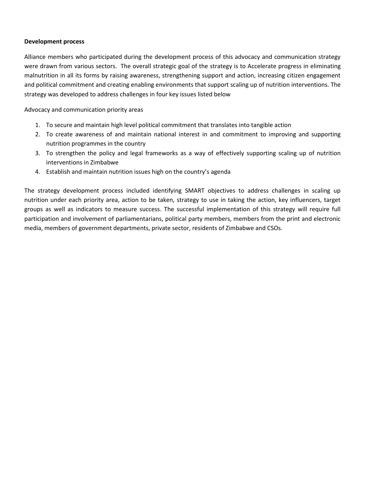#### **Development process**

Alliance members who participated during the development process of this advocacy and communication strategy were drawn from various sectors. The overall strategic goal of the strategy is to Accelerate progress in eliminating malnutrition in all its forms by raising awareness, strengthening support and action, increasing citizen engagement and political commitment and creating enabling environments that support scaling up of nutrition interventions. The strategy was developed to address challenges in four key issues listed below

Advocacy and communication priority areas

- 1. To secure and maintain high level political commitment that translates into tangible action
- 2. To create awareness of and maintain national interest in and commitment to improving and supporting nutrition programmes in the country
- 3. To strengthen the policy and legal frameworks as a way of effectively supporting scaling up of nutrition interventions in Zimbabwe
- 4. Establish and maintain nutrition issues high on the country's agenda

The strategy development process included identifying SMART objectives to address challenges in scaling up nutrition under each priority area, action to be taken, strategy to use in taking the action, key influencers, target groups as well as indicators to measure success. The successful implementation of this strategy will require full participation and involvement of parliamentarians, political party members, members from the print and electronic media, members of government departments, private sector, residents of Zimbabwe and CSOs.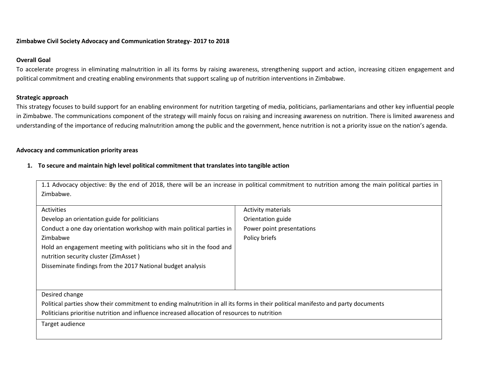#### **Zimbabwe Civil Society Advocacy and Communication Strategy- 2017 to 2018**

#### **Overall Goal**

To accelerate progress in eliminating malnutrition in all its forms by raising awareness, strengthening support and action, increasing citizen engagement and political commitment and creating enabling environments that support scaling up of nutrition interventions in Zimbabwe.

#### **Strategic approach**

This strategy focuses to build support for an enabling environment for nutrition targeting of media, politicians, parliamentarians and other key influential people in Zimbabwe. The communications component of the strategy will mainly focus on raising and increasing awareness on nutrition. There is limited awareness and understanding of the importance of reducing malnutrition among the public and the government, hence nutrition is not a priority issue on the nation's agenda.

#### **Advocacy and communication priority areas**

#### **1. To secure and maintain high level political commitment that translates into tangible action**

|                                                                                                                                  | 1.1 Advocacy objective: By the end of 2018, there will be an increase in political commitment to nutrition among the main political parties in |
|----------------------------------------------------------------------------------------------------------------------------------|------------------------------------------------------------------------------------------------------------------------------------------------|
| Zimbabwe.                                                                                                                        |                                                                                                                                                |
|                                                                                                                                  |                                                                                                                                                |
| Activities                                                                                                                       | <b>Activity materials</b>                                                                                                                      |
| Develop an orientation guide for politicians                                                                                     | Orientation guide                                                                                                                              |
| Conduct a one day orientation workshop with main political parties in                                                            | Power point presentations                                                                                                                      |
| Zimbabwe                                                                                                                         | Policy briefs                                                                                                                                  |
| Hold an engagement meeting with politicians who sit in the food and                                                              |                                                                                                                                                |
| nutrition security cluster (ZimAsset)                                                                                            |                                                                                                                                                |
| Disseminate findings from the 2017 National budget analysis                                                                      |                                                                                                                                                |
|                                                                                                                                  |                                                                                                                                                |
|                                                                                                                                  |                                                                                                                                                |
| Desired change                                                                                                                   |                                                                                                                                                |
| Political parties show their commitment to ending malnutrition in all its forms in their political manifesto and party documents |                                                                                                                                                |
| Politicians prioritise nutrition and influence increased allocation of resources to nutrition                                    |                                                                                                                                                |
| Target audience                                                                                                                  |                                                                                                                                                |
|                                                                                                                                  |                                                                                                                                                |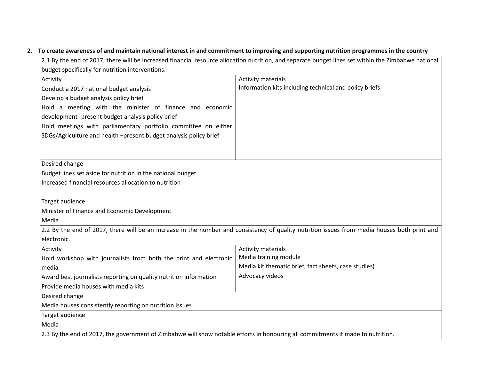### **2. To create awareness of and maintain national interest in and commitment to improving and supporting nutrition programmes in the country**

| 2.1 By the end of 2017, there will be increased financial resource allocation nutrition, and separate budget lines set within the Zimbabwe national |                                                                                                                                              |  |  |  |  |
|-----------------------------------------------------------------------------------------------------------------------------------------------------|----------------------------------------------------------------------------------------------------------------------------------------------|--|--|--|--|
| budget specifically for nutrition interventions.                                                                                                    |                                                                                                                                              |  |  |  |  |
| Activity                                                                                                                                            | <b>Activity materials</b>                                                                                                                    |  |  |  |  |
| Conduct a 2017 national budget analysis                                                                                                             | Information kits including technical and policy briefs                                                                                       |  |  |  |  |
| Develop a budget analysis policy brief                                                                                                              |                                                                                                                                              |  |  |  |  |
| Hold a meeting with the minister of finance and economic                                                                                            |                                                                                                                                              |  |  |  |  |
| development- present budget analysis policy brief                                                                                                   |                                                                                                                                              |  |  |  |  |
| Hold meetings with parliamentary portfolio committee on either                                                                                      |                                                                                                                                              |  |  |  |  |
| SDGs/Agriculture and health -present budget analysis policy brief                                                                                   |                                                                                                                                              |  |  |  |  |
|                                                                                                                                                     |                                                                                                                                              |  |  |  |  |
|                                                                                                                                                     |                                                                                                                                              |  |  |  |  |
| Desired change                                                                                                                                      |                                                                                                                                              |  |  |  |  |
| Budget lines set aside for nutrition in the national budget                                                                                         |                                                                                                                                              |  |  |  |  |
| Increased financial resources allocation to nutrition                                                                                               |                                                                                                                                              |  |  |  |  |
|                                                                                                                                                     |                                                                                                                                              |  |  |  |  |
| Target audience                                                                                                                                     |                                                                                                                                              |  |  |  |  |
| Minister of Finance and Economic Development                                                                                                        |                                                                                                                                              |  |  |  |  |
| Media                                                                                                                                               |                                                                                                                                              |  |  |  |  |
|                                                                                                                                                     | 2.2 By the end of 2017, there will be an increase in the number and consistency of quality nutrition issues from media houses both print and |  |  |  |  |
| electronic.                                                                                                                                         |                                                                                                                                              |  |  |  |  |
| Activity                                                                                                                                            | <b>Activity materials</b>                                                                                                                    |  |  |  |  |
| Hold workshop with journalists from both the print and electronic                                                                                   | Media training module                                                                                                                        |  |  |  |  |
| media                                                                                                                                               | Media kit thematic brief, fact sheets, case studies)                                                                                         |  |  |  |  |
| Award best journalists reporting on quality nutrition information                                                                                   | Advocacy videos                                                                                                                              |  |  |  |  |
| Provide media houses with media kits                                                                                                                |                                                                                                                                              |  |  |  |  |
| Desired change                                                                                                                                      |                                                                                                                                              |  |  |  |  |
| Media houses consistently reporting on nutrition issues                                                                                             |                                                                                                                                              |  |  |  |  |
| Target audience                                                                                                                                     |                                                                                                                                              |  |  |  |  |
| Media                                                                                                                                               |                                                                                                                                              |  |  |  |  |
| 2.3 By the end of 2017, the government of Zimbabwe will show notable efforts in honouring all commitments it made to nutrition.                     |                                                                                                                                              |  |  |  |  |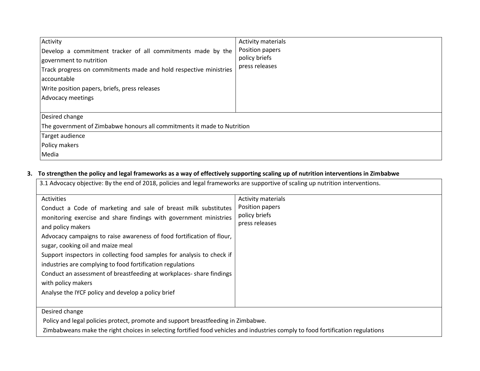| Activity<br>Develop a commitment tracker of all commitments made by the<br>government to nutrition<br>Track progress on commitments made and hold respective ministries<br>accountable<br>Write position papers, briefs, press releases<br>Advocacy meetings | Activity materials<br>Position papers<br>policy briefs<br>press releases |  |  |  |
|--------------------------------------------------------------------------------------------------------------------------------------------------------------------------------------------------------------------------------------------------------------|--------------------------------------------------------------------------|--|--|--|
| Desired change                                                                                                                                                                                                                                               |                                                                          |  |  |  |
| The government of Zimbabwe honours all commitments it made to Nutrition                                                                                                                                                                                      |                                                                          |  |  |  |
| Target audience                                                                                                                                                                                                                                              |                                                                          |  |  |  |
| Policy makers                                                                                                                                                                                                                                                |                                                                          |  |  |  |
| Media                                                                                                                                                                                                                                                        |                                                                          |  |  |  |

### **3. To strengthen the policy and legal frameworks as a way of effectively supporting scaling up of nutrition interventions in Zimbabwe**

| 3.1 Advocacy objective: By the end of 2018, policies and legal frameworks are supportive of scaling up nutrition interventions.<br>Activities<br>Conduct a Code of marketing and sale of breast milk substitutes<br>monitoring exercise and share findings with government ministries<br>and policy makers                                                                                            | <b>Activity materials</b><br>Position papers<br>policy briefs<br>press releases |
|-------------------------------------------------------------------------------------------------------------------------------------------------------------------------------------------------------------------------------------------------------------------------------------------------------------------------------------------------------------------------------------------------------|---------------------------------------------------------------------------------|
| Advocacy campaigns to raise awareness of food fortification of flour,<br>sugar, cooking oil and maize meal<br>Support inspectors in collecting food samples for analysis to check if<br>industries are complying to food fortification regulations<br>Conduct an assessment of breastfeeding at workplaces-share findings<br>with policy makers<br>Analyse the IYCF policy and develop a policy brief |                                                                                 |
| Desired change<br>Policy and legal policies protect, promote and support breastfeeding in Zimbabwe.                                                                                                                                                                                                                                                                                                   |                                                                                 |

Zimbabweans make the right choices in selecting fortified food vehicles and industries comply to food fortification regulations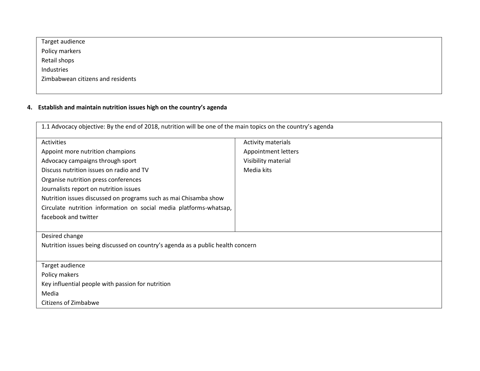| Target audience                   |  |
|-----------------------------------|--|
| Policy markers                    |  |
| Retail shops                      |  |
| Industries                        |  |
| Zimbabwean citizens and residents |  |
|                                   |  |

### **4. Establish and maintain nutrition issues high on the country's agenda**

| 1.1 Advocacy objective: By the end of 2018, nutrition will be one of the main topics on the country's agenda |                     |  |  |  |  |
|--------------------------------------------------------------------------------------------------------------|---------------------|--|--|--|--|
| Activities                                                                                                   | Activity materials  |  |  |  |  |
| Appoint more nutrition champions                                                                             | Appointment letters |  |  |  |  |
| Advocacy campaigns through sport                                                                             | Visibility material |  |  |  |  |
| Discuss nutrition issues on radio and TV                                                                     | Media kits          |  |  |  |  |
| Organise nutrition press conferences                                                                         |                     |  |  |  |  |
| Journalists report on nutrition issues                                                                       |                     |  |  |  |  |
| Nutrition issues discussed on programs such as mai Chisamba show                                             |                     |  |  |  |  |
| Circulate nutrition information on social media platforms-whatsap,                                           |                     |  |  |  |  |
| facebook and twitter                                                                                         |                     |  |  |  |  |
|                                                                                                              |                     |  |  |  |  |
| Desired change                                                                                               |                     |  |  |  |  |
| Nutrition issues being discussed on country's agenda as a public health concern                              |                     |  |  |  |  |
|                                                                                                              |                     |  |  |  |  |
| Target audience                                                                                              |                     |  |  |  |  |
| Policy makers                                                                                                |                     |  |  |  |  |
| Key influential people with passion for nutrition                                                            |                     |  |  |  |  |
| Media                                                                                                        |                     |  |  |  |  |
| Citizens of Zimbabwe                                                                                         |                     |  |  |  |  |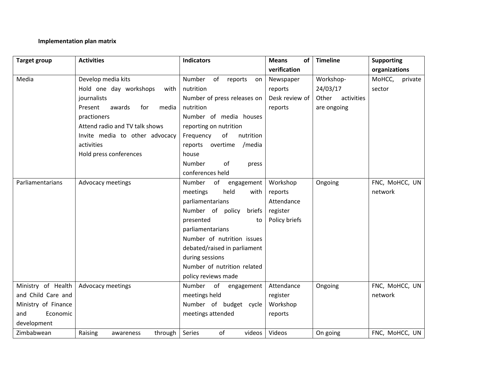### **Implementation plan matrix**

| <b>Target group</b> | <b>Activities</b>                 | <b>Indicators</b>            | <b>Means</b><br>οf | <b>Timeline</b>     | <b>Supporting</b> |
|---------------------|-----------------------------------|------------------------------|--------------------|---------------------|-------------------|
|                     |                                   |                              | verification       |                     | organizations     |
| Media               | Develop media kits                | Number<br>of reports<br>on   | Newspaper          | Workshop-           | MoHCC,<br>private |
|                     | Hold one day workshops<br>with    | nutrition                    | reports            | 24/03/17            | sector            |
|                     | journalists                       | Number of press releases on  | Desk review of     | Other<br>activities |                   |
|                     | Present<br>awards<br>media<br>for | nutrition                    | reports            | are ongoing         |                   |
|                     | practioners                       | Number of media houses       |                    |                     |                   |
|                     | Attend radio and TV talk shows    | reporting on nutrition       |                    |                     |                   |
|                     | Invite media to other advocacy    | of<br>nutrition<br>Frequency |                    |                     |                   |
|                     | activities                        | reports overtime<br>/media   |                    |                     |                   |
|                     | Hold press conferences            | house                        |                    |                     |                   |
|                     |                                   | <b>Number</b><br>of<br>press |                    |                     |                   |
|                     |                                   | conferences held             |                    |                     |                   |
| Parliamentarians    | Advocacy meetings                 | Number<br>of<br>engagement   | Workshop           | Ongoing             | FNC, MoHCC, UN    |
|                     |                                   | held<br>meetings<br>with     | reports            |                     | network           |
|                     |                                   | parliamentarians             | Attendance         |                     |                   |
|                     |                                   | Number of policy<br>briefs   | register           |                     |                   |
|                     |                                   | presented<br>to              | Policy briefs      |                     |                   |
|                     |                                   | parliamentarians             |                    |                     |                   |
|                     |                                   | Number of nutrition issues   |                    |                     |                   |
|                     |                                   | debated/raised in parliament |                    |                     |                   |
|                     |                                   | during sessions              |                    |                     |                   |
|                     |                                   | Number of nutrition related  |                    |                     |                   |
|                     |                                   | policy reviews made          |                    |                     |                   |
| Ministry of Health  | Advocacy meetings                 | Number of engagement         | Attendance         | Ongoing             | FNC, MoHCC, UN    |
| and Child Care and  |                                   | meetings held                | register           |                     | network           |
| Ministry of Finance |                                   | Number of budget cycle       | Workshop           |                     |                   |
| and<br>Economic     |                                   | meetings attended            | reports            |                     |                   |
| development         |                                   |                              |                    |                     |                   |
| Zimbabwean          | Raising<br>through<br>awareness   | of<br>Series<br>videos       | Videos             | On going            | FNC, MoHCC, UN    |